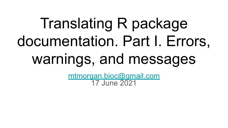# Translating R package documentation. Part I. Errors, warnings, and messages

[mtmorgan.bioc@gmail.com](mailto:mtmorgan.bioc@gmail.com) 17 June 2021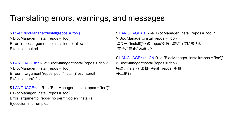### Translating errors, warnings, and messages

#### \$ R -e "BiocManager::install(repos = 'foo')"

> BiocManager::install(repos = 'foo') Error: 'repos' argument to 'install()' not allowed Execution halted

\$ LANGUAGE=fr R -e "BiocManager::install(repos = 'foo')" > BiocManager::install(repos = 'foo') Erreur : l'argument 'repos' pour 'install()' est interdit Exécution arrêtée

\$ LANGUAGE=es R -e "BiocManager::install(repos = 'foo')" > BiocManager::install(repos = 'foo') Error: argumento 'repos' no permitido en 'install()' Ejecución interrumpida

\$ LANGUAGE=ja R -e "BiocManager::install(repos = 'foo')" > BiocManager::install(repos = 'foo') エラー: 'install()'への'repos'引数は許されていません 実行が停止されました

\$ LANGUAGE=zh\_CN R -e "BiocManager::install(repos = 'foo')" > BiocManager::install(repos = 'foo') 错误: 'install()' 函数不接受 `repos` 参数 停止执行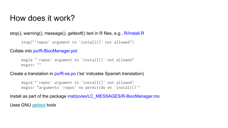### How does it work?

#### stop(), warning(), message(), gettextf() text in R files, e.g., R/install.R

```
stop("'repos' argument to 'install()' not allowed")
```
#### Collate into po/R-BiocManager.pot

```
msgid "'repos' argument to 'install()' not allowed"
msgstr ""
```
#### Create a translation in po/R-es.po ('es' indicates Spanish translation)

msgid "'repos' argument to 'install()' not allowed" msgstr "argumento 'repos' no permitido en 'install()'"

Install as part of the package inst/po/es/LC\_MESSAGES/R-BiocManager.mo

Uses GNU [gettext](https://www.gnu.org/software/gettext/) tools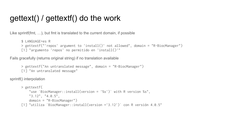### gettext() / gettextf() do the work

Like sprintf(fmt, …), but fmt is translated to the current domain, if possible

```
$ LANGUAGE=es R
> gettextf("'repos' argument to 'install()' not allowed", domain = "R-BiocManager")
[1] "argumento 'repos' no permitido en 'install()'"
```
Fails gracefully (returns original string) if no translation available

```
> gettextf("An untranslated message", domain = "R-BiocManager")
[1] "An untranslated message"
```
sprintf() interpolation

```
> gettextf(
     "use `BiocManager::install(version = '%s')` with R version %s",
     "3.12", "4.0.5",
     domain = "R-BiocManager")
[1] "utiliza `BiocManager::install(version ='3.12')` con R versión 4.0.5"
```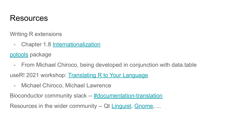### Resources

Writing R extensions

- Chapter 1.8 [Internationalization](https://cran.r-project.org/doc/manuals/r-release/R-exts.html#Internationalization)

[potools](https://github.com/MichaelChirico/potools) package

- From Michael Chiroco, being developed in conjunction with data.table

useR! 2021 workshop: [Translating R to Your Language](https://www.conftool.org/user2021/index.php?page=browseSessions&form_session=84&form_tracks=10&presentations=show)

- Michael Chiroco, Michael Lawrence

Bioconductor community slack -- [#documentation-translation](https://community-bioc.slack.com/archives/C024SNHU8A3)

Resources in the wider community -- Qt [Linguist](https://doc.qt.io/qt-5/qtlinguist-index.html), [Gnome](https://l10n.gnome.org/teams/), ...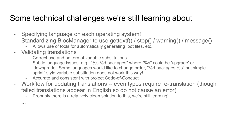### Some technical challenges we're still learning about

- Specifying language on each operating system!
- Standardizing BiocManager to use gettextf() / stop() / warning() / message()
	- Allows use of tools for automatically generating .pot files, etc.
- Validating translations

- ...

- Correct use and pattern of variable substitutions
- Subtle language issues, e.g., "%s %d packages" where "%s" could be 'upgrade' or 'downgrade'. Some languages would like to change order, "%d packages %s" but simple sprintf-style variable substitution does not work this way!
- Accurate and consistent with project Code-of-Conduct
- Workflow for updating translations -- even typos require re-translation (though failed translations appear in English so do not cause an error)
	- Probably there is a relatively clean solution to this, we're still learning!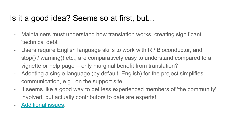## Is it a good idea? Seems so at first, but...

- Maintainers must understand how translation works, creating significant 'technical debt'
- Users require English language skills to work with R / Bioconductor, and stop() / warning() etc., are comparatively easy to understand compared to a vignette or help page -- only marginal benefit from translation?
- Adopting a single language (by default, English) for the project simplifies communication, e.g., on the support site.
- It seems like a good way to get less experienced members of 'the community' involved, but actually contributors to date are experts!
- [Additional issues](https://github.com/Bioconductor/BiocManager/blob/po-translations/README-Translation.md#concerns--next-steps).